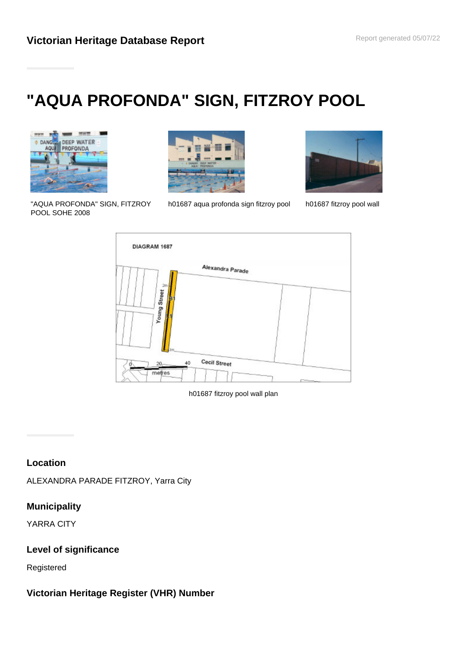# **"AQUA PROFONDA" SIGN, FITZROY POOL**



"AQUA PROFONDA" SIGN, FITZROY POOL SOHE 2008



h01687 aqua profonda sign fitzroy pool h01687 fitzroy pool wall





h01687 fitzroy pool wall plan

## **Location**

ALEXANDRA PARADE FITZROY, Yarra City

### **Municipality**

YARRA CITY

### **Level of significance**

Registered

## **Victorian Heritage Register (VHR) Number**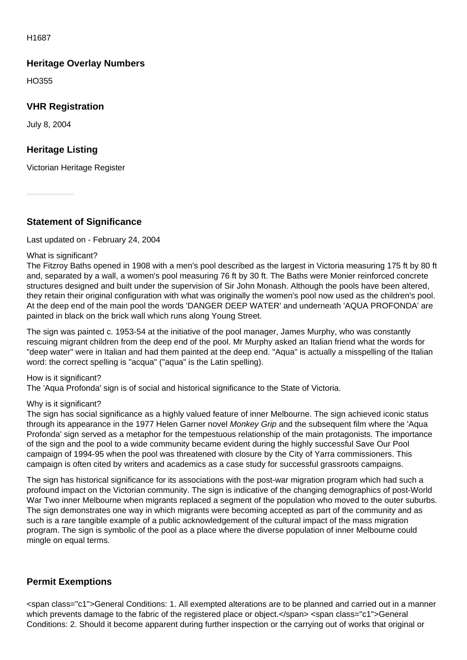#### H1687

## **Heritage Overlay Numbers**

HO355

## **VHR Registration**

July 8, 2004

## **Heritage Listing**

Victorian Heritage Register

**Statement of Significance**

#### Last updated on - February 24, 2004

#### What is significant?

The Fitzroy Baths opened in 1908 with a men's pool described as the largest in Victoria measuring 175 ft by 80 ft and, separated by a wall, a women's pool measuring 76 ft by 30 ft. The Baths were Monier reinforced concrete structures designed and built under the supervision of Sir John Monash. Although the pools have been altered, they retain their original configuration with what was originally the women's pool now used as the children's pool. At the deep end of the main pool the words 'DANGER DEEP WATER' and underneath 'AQUA PROFONDA' are painted in black on the brick wall which runs along Young Street.

The sign was painted c. 1953-54 at the initiative of the pool manager, James Murphy, who was constantly rescuing migrant children from the deep end of the pool. Mr Murphy asked an Italian friend what the words for "deep water" were in Italian and had them painted at the deep end. "Aqua" is actually a misspelling of the Italian word: the correct spelling is "acqua" ("aqua" is the Latin spelling).

#### How is it significant?

The 'Aqua Profonda' sign is of social and historical significance to the State of Victoria.

#### Why is it significant?

The sign has social significance as a highly valued feature of inner Melbourne. The sign achieved iconic status through its appearance in the 1977 Helen Garner novel Monkey Grip and the subsequent film where the 'Aqua Profonda' sign served as a metaphor for the tempestuous relationship of the main protagonists. The importance of the sign and the pool to a wide community became evident during the highly successful Save Our Pool campaign of 1994-95 when the pool was threatened with closure by the City of Yarra commissioners. This campaign is often cited by writers and academics as a case study for successful grassroots campaigns.

The sign has historical significance for its associations with the post-war migration program which had such a profound impact on the Victorian community. The sign is indicative of the changing demographics of post-World War Two inner Melbourne when migrants replaced a segment of the population who moved to the outer suburbs. The sign demonstrates one way in which migrants were becoming accepted as part of the community and as such is a rare tangible example of a public acknowledgement of the cultural impact of the mass migration program. The sign is symbolic of the pool as a place where the diverse population of inner Melbourne could mingle on equal terms.

### **Permit Exemptions**

<span class="c1">General Conditions: 1. All exempted alterations are to be planned and carried out in a manner which prevents damage to the fabric of the registered place or object.</span> <span class="c1">General Conditions: 2. Should it become apparent during further inspection or the carrying out of works that original or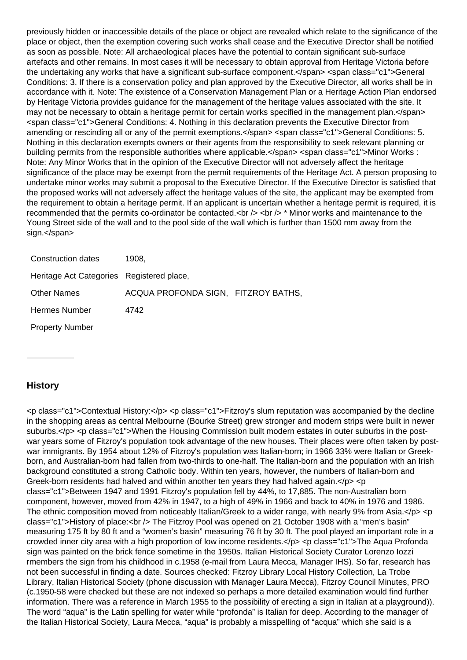previously hidden or inaccessible details of the place or object are revealed which relate to the significance of the place or object, then the exemption covering such works shall cease and the Executive Director shall be notified as soon as possible. Note: All archaeological places have the potential to contain significant sub-surface artefacts and other remains. In most cases it will be necessary to obtain approval from Heritage Victoria before the undertaking any works that have a significant sub-surface component.</span> <span class="c1">General Conditions: 3. If there is a conservation policy and plan approved by the Executive Director, all works shall be in accordance with it. Note: The existence of a Conservation Management Plan or a Heritage Action Plan endorsed by Heritage Victoria provides guidance for the management of the heritage values associated with the site. It may not be necessary to obtain a heritage permit for certain works specified in the management plan.</span> <span class="c1">General Conditions: 4. Nothing in this declaration prevents the Executive Director from amending or rescinding all or any of the permit exemptions.</span> <span class="c1">General Conditions: 5. Nothing in this declaration exempts owners or their agents from the responsibility to seek relevant planning or building permits from the responsible authorities where applicable.</span> <span class="c1">Minor Works : Note: Any Minor Works that in the opinion of the Executive Director will not adversely affect the heritage significance of the place may be exempt from the permit requirements of the Heritage Act. A person proposing to undertake minor works may submit a proposal to the Executive Director. If the Executive Director is satisfied that the proposed works will not adversely affect the heritage values of the site, the applicant may be exempted from the requirement to obtain a heritage permit. If an applicant is uncertain whether a heritage permit is required, it is recommended that the permits co-ordinator be contacted.  $\langle$ br  $/$ >  $\langle$ br  $/$ > \* Minor works and maintenance to the Young Street side of the wall and to the pool side of the wall which is further than 1500 mm away from the sign.</span>

| Construction dates                        | 1908.                               |  |
|-------------------------------------------|-------------------------------------|--|
| Heritage Act Categories Registered place, |                                     |  |
| <b>Other Names</b>                        | ACQUA PROFONDA SIGN, FITZROY BATHS, |  |
| <b>Hermes Number</b>                      | 4742                                |  |
| <b>Property Number</b>                    |                                     |  |

#### **History**

<p class="c1">Contextual History:</p> <p class="c1">Fitzroy's slum reputation was accompanied by the decline in the shopping areas as central Melbourne (Bourke Street) grew stronger and modern strips were built in newer suburbs.</p> <p class="c1">When the Housing Commission built modern estates in outer suburbs in the postwar years some of Fitzroy's population took advantage of the new houses. Their places were often taken by postwar immigrants. By 1954 about 12% of Fitzroy's population was Italian-born; in 1966 33% were Italian or Greekborn, and Australian-born had fallen from two-thirds to one-half. The Italian-born and the population with an Irish background constituted a strong Catholic body. Within ten years, however, the numbers of Italian-born and Greek-born residents had halved and within another ten years they had halved again. $\langle p \rangle \langle p \rangle$ class="c1">Between 1947 and 1991 Fitzroy's population fell by 44%, to 17,885. The non-Australian born component, however, moved from 42% in 1947, to a high of 49% in 1966 and back to 40% in 1976 and 1986. The ethnic composition moved from noticeably Italian/Greek to a wider range, with nearly 9% from Asia.</p> <p class="c1">History of place:<br />
The Fitzroy Pool was opened on 21 October 1908 with a "men's basin" measuring 175 ft by 80 ft and a "women's basin" measuring 76 ft by 30 ft. The pool played an important role in a crowded inner city area with a high proportion of low income residents.</p> <p class="c1">The Aqua Profonda sign was painted on the brick fence sometime in the 1950s. Italian Historical Society Curator Lorenzo Iozzi rmembers the sign from his childhood in c.1958 (e-mail from Laura Mecca, Manager IHS). So far, research has not been successful in finding a date. Sources checked: Fitzroy Library Local History Collection, La Trobe Library, Italian Historical Society (phone discussion with Manager Laura Mecca), Fitzroy Council Minutes, PRO (c.1950-58 were checked but these are not indexed so perhaps a more detailed examination would find further information. There was a reference in March 1955 to the possibility of erecting a sign in Italian at a playground)). The word "aqua" is the Latin spelling for water while "profonda" is Italian for deep. According to the manager of the Italian Historical Society, Laura Mecca, "aqua" is probably a misspelling of "acqua" which she said is a